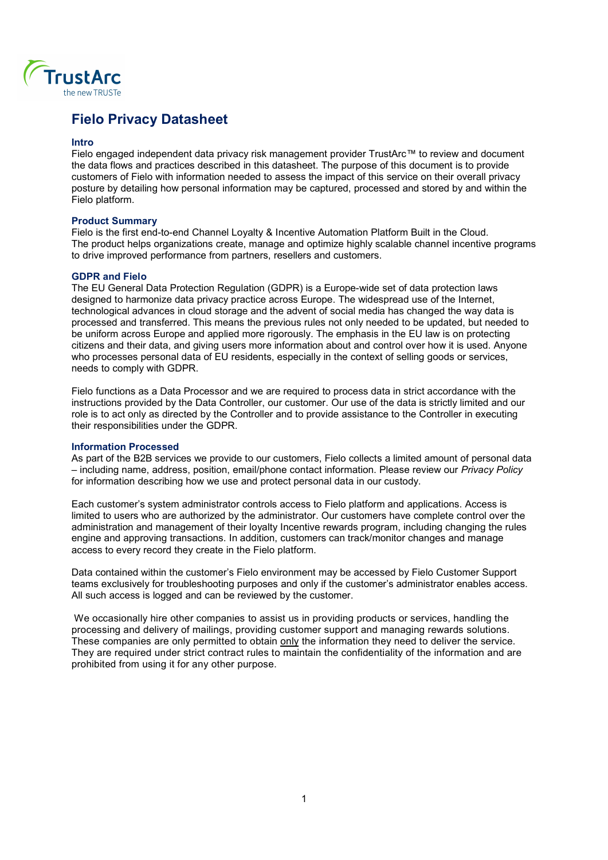

# Fielo Privacy Datasheet

#### Intro

Fielo engaged independent data privacy risk management provider TrustArc™ to review and document the data flows and practices described in this datasheet. The purpose of this document is to provide customers of Fielo with information needed to assess the impact of this service on their overall privacy posture by detailing how personal information may be captured, processed and stored by and within the Fielo platform.

## Product Summary

Fielo is the first end-to-end Channel Loyalty & Incentive Automation Platform Built in the Cloud. The product helps organizations create, manage and optimize highly scalable channel incentive programs to drive improved performance from partners, resellers and customers.

## GDPR and Fielo

The EU General Data Protection Regulation (GDPR) is a Europe-wide set of data protection laws designed to harmonize data privacy practice across Europe. The widespread use of the Internet, technological advances in cloud storage and the advent of social media has changed the way data is processed and transferred. This means the previous rules not only needed to be updated, but needed to be uniform across Europe and applied more rigorously. The emphasis in the EU law is on protecting citizens and their data, and giving users more information about and control over how it is used. Anyone who processes personal data of EU residents, especially in the context of selling goods or services, needs to comply with GDPR.

Fielo functions as a Data Processor and we are required to process data in strict accordance with the instructions provided by the Data Controller, our customer. Our use of the data is strictly limited and our role is to act only as directed by the Controller and to provide assistance to the Controller in executing their responsibilities under the GDPR.

#### Information Processed

As part of the B2B services we provide to our customers, Fielo collects a limited amount of personal data – including name, address, position, email/phone contact information. Please review our Privacy Policy for information describing how we use and protect personal data in our custody.

Each customer's system administrator controls access to Fielo platform and applications. Access is limited to users who are authorized by the administrator. Our customers have complete control over the administration and management of their loyalty Incentive rewards program, including changing the rules engine and approving transactions. In addition, customers can track/monitor changes and manage access to every record they create in the Fielo platform.

Data contained within the customer's Fielo environment may be accessed by Fielo Customer Support teams exclusively for troubleshooting purposes and only if the customer's administrator enables access. All such access is logged and can be reviewed by the customer.

 We occasionally hire other companies to assist us in providing products or services, handling the processing and delivery of mailings, providing customer support and managing rewards solutions. These companies are only permitted to obtain only the information they need to deliver the service. They are required under strict contract rules to maintain the confidentiality of the information and are prohibited from using it for any other purpose.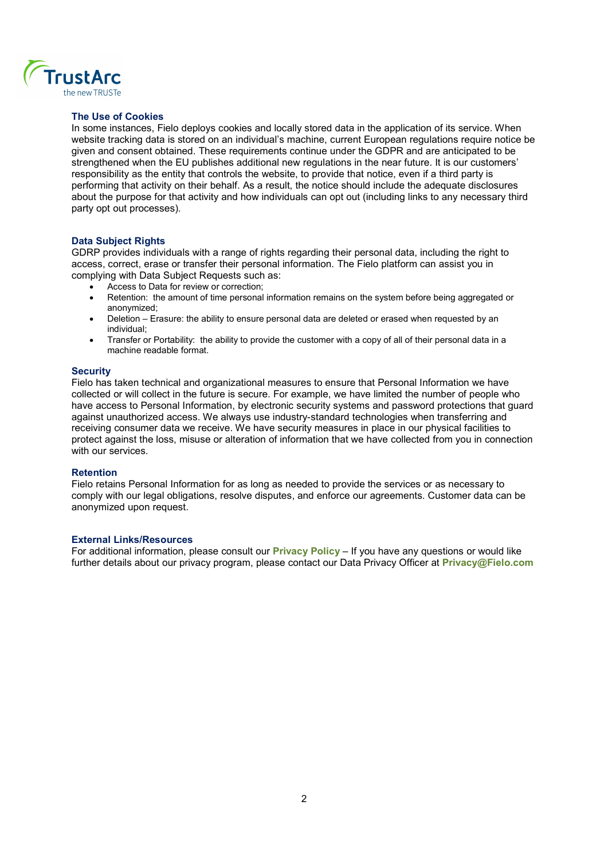

## The Use of Cookies

In some instances, Fielo deploys cookies and locally stored data in the application of its service. When website tracking data is stored on an individual's machine, current European regulations require notice be given and consent obtained. These requirements continue under the GDPR and are anticipated to be strengthened when the EU publishes additional new regulations in the near future. It is our customers' responsibility as the entity that controls the website, to provide that notice, even if a third party is performing that activity on their behalf. As a result, the notice should include the adequate disclosures about the purpose for that activity and how individuals can opt out (including links to any necessary third party opt out processes).

## Data Subject Rights

GDRP provides individuals with a range of rights regarding their personal data, including the right to access, correct, erase or transfer their personal information. The Fielo platform can assist you in complying with Data Subject Requests such as:

- Access to Data for review or correction;
- Retention: the amount of time personal information remains on the system before being aggregated or anonymized;
- Deletion Erasure: the ability to ensure personal data are deleted or erased when requested by an individual;
- Transfer or Portability: the ability to provide the customer with a copy of all of their personal data in a machine readable format.

#### **Security**

Fielo has taken technical and organizational measures to ensure that Personal Information we have collected or will collect in the future is secure. For example, we have limited the number of people who have access to Personal Information, by electronic security systems and password protections that guard against unauthorized access. We always use industry-standard technologies when transferring and receiving consumer data we receive. We have security measures in place in our physical facilities to protect against the loss, misuse or alteration of information that we have collected from you in connection with our services.

#### Retention

Fielo retains Personal Information for as long as needed to provide the services or as necessary to comply with our legal obligations, resolve disputes, and enforce our agreements. Customer data can be anonymized upon request.

## External Links/Resources

For additional information, please consult our **Privacy Policy** – If you have any questions or would like further details about our privacy program, please contact our Data Privacy Officer at **Privacy@Fielo.com**